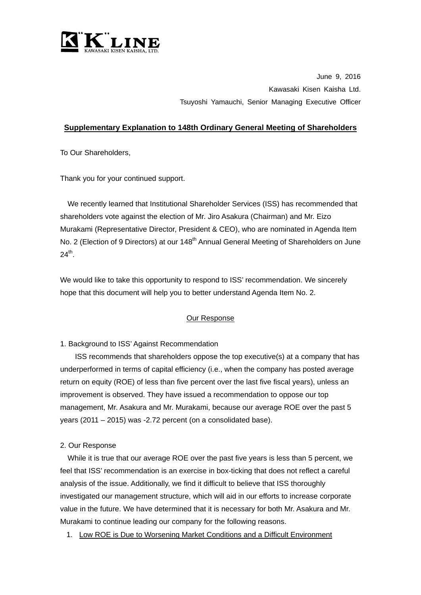

June 9, 2016 Kawasaki Kisen Kaisha Ltd. Tsuyoshi Yamauchi, Senior Managing Executive Officer

## **Supplementary Explanation to 148th Ordinary General Meeting of Shareholders**

To Our Shareholders,

Thank you for your continued support.

We recently learned that Institutional Shareholder Services (ISS) has recommended that shareholders vote against the election of Mr. Jiro Asakura (Chairman) and Mr. Eizo Murakami (Representative Director, President & CEO), who are nominated in Agenda Item No. 2 (Election of 9 Directors) at our 148<sup>th</sup> Annual General Meeting of Shareholders on June  $24<sup>th</sup>$ .

We would like to take this opportunity to respond to ISS' recommendation. We sincerely hope that this document will help you to better understand Agenda Item No. 2.

## Our Response

1. Background to ISS' Against Recommendation

ISS recommends that shareholders oppose the top executive(s) at a company that has underperformed in terms of capital efficiency (i.e., when the company has posted average return on equity (ROE) of less than five percent over the last five fiscal years), unless an improvement is observed. They have issued a recommendation to oppose our top management, Mr. Asakura and Mr. Murakami, because our average ROE over the past 5 years (2011 – 2015) was -2.72 percent (on a consolidated base).

## 2. Our Response

While it is true that our average ROE over the past five years is less than 5 percent, we feel that ISS' recommendation is an exercise in box-ticking that does not reflect a careful analysis of the issue. Additionally, we find it difficult to believe that ISS thoroughly investigated our management structure, which will aid in our efforts to increase corporate value in the future. We have determined that it is necessary for both Mr. Asakura and Mr. Murakami to continue leading our company for the following reasons.

1. Low ROE is Due to Worsening Market Conditions and a Difficult Environment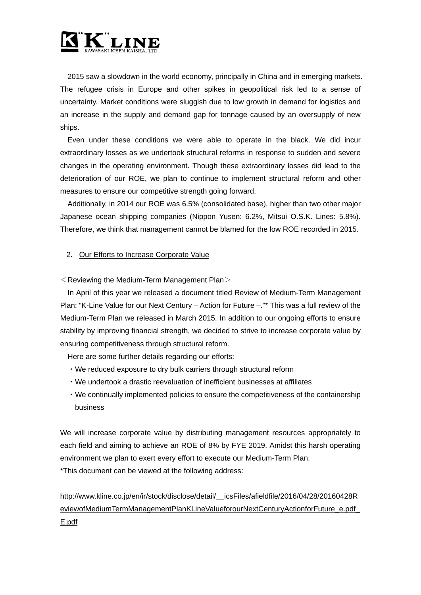

2015 saw a slowdown in the world economy, principally in China and in emerging markets. The refugee crisis in Europe and other spikes in geopolitical risk led to a sense of uncertainty. Market conditions were sluggish due to low growth in demand for logistics and an increase in the supply and demand gap for tonnage caused by an oversupply of new ships.

Even under these conditions we were able to operate in the black. We did incur extraordinary losses as we undertook structural reforms in response to sudden and severe changes in the operating environment. Though these extraordinary losses did lead to the deterioration of our ROE, we plan to continue to implement structural reform and other measures to ensure our competitive strength going forward.

Additionally, in 2014 our ROE was 6.5% (consolidated base), higher than two other major Japanese ocean shipping companies (Nippon Yusen: 6.2%, Mitsui O.S.K. Lines: 5.8%). Therefore, we think that management cannot be blamed for the low ROE recorded in 2015.

## 2. Our Efforts to Increase Corporate Value

 $\leq$  Reviewing the Medium-Term Management Plan $>$ 

In April of this year we released a document titled Review of Medium-Term Management Plan: "K-Line Value for our Next Century – Action for Future –."\* This was a full review of the Medium-Term Plan we released in March 2015. In addition to our ongoing efforts to ensure stability by improving financial strength, we decided to strive to increase corporate value by ensuring competitiveness through structural reform.

Here are some further details regarding our efforts:

- ・We reduced exposure to dry bulk carriers through structural reform
- ・We undertook a drastic reevaluation of inefficient businesses at affiliates
- ・We continually implemented policies to ensure the competitiveness of the containership business

We will increase corporate value by distributing management resources appropriately to each field and aiming to achieve an ROE of 8% by FYE 2019. Amidst this harsh operating environment we plan to exert every effort to execute our Medium-Term Plan. \*This document can be viewed at the following address:

[http://www.kline.co.jp/en/ir/stock/disclose/detail/\\_\\_icsFiles/afieldfile/2016/04/28/20160428R](http://www.kline.co.jp/en/ir/stock/disclose/detail/__icsFiles/afieldfile/2016/04/28/20160428ReviewofMediumTermManagementPlanKLineValueforourNextCenturyActionforFuture_e.pdf_E.pdf) [eviewofMediumTermManagementPlanKLineValueforourNextCenturyActionforFuture\\_e.pdf\\_](http://www.kline.co.jp/en/ir/stock/disclose/detail/__icsFiles/afieldfile/2016/04/28/20160428ReviewofMediumTermManagementPlanKLineValueforourNextCenturyActionforFuture_e.pdf_E.pdf) [E.pdf](http://www.kline.co.jp/en/ir/stock/disclose/detail/__icsFiles/afieldfile/2016/04/28/20160428ReviewofMediumTermManagementPlanKLineValueforourNextCenturyActionforFuture_e.pdf_E.pdf)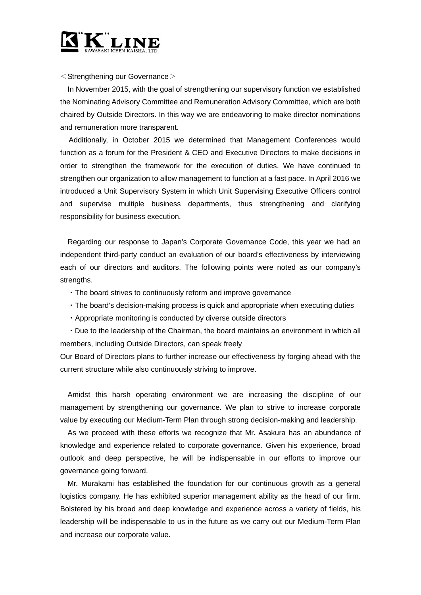

 $\leq$ Strengthening our Governance $>$ 

In November 2015, with the goal of strengthening our supervisory function we established the Nominating Advisory Committee and Remuneration Advisory Committee, which are both chaired by Outside Directors. In this way we are endeavoring to make director nominations and remuneration more transparent.

Additionally, in October 2015 we determined that Management Conferences would function as a forum for the President & CEO and Executive Directors to make decisions in order to strengthen the framework for the execution of duties. We have continued to strengthen our organization to allow management to function at a fast pace. In April 2016 we introduced a Unit Supervisory System in which Unit Supervising Executive Officers control and supervise multiple business departments, thus strengthening and clarifying responsibility for business execution.

Regarding our response to Japan's Corporate Governance Code, this year we had an independent third-party conduct an evaluation of our board's effectiveness by interviewing each of our directors and auditors. The following points were noted as our company's strengths.

- ・The board strives to continuously reform and improve governance
- ・The board's decision-making process is quick and appropriate when executing duties
- ・Appropriate monitoring is conducted by diverse outside directors

・Due to the leadership of the Chairman, the board maintains an environment in which all members, including Outside Directors, can speak freely

Our Board of Directors plans to further increase our effectiveness by forging ahead with the current structure while also continuously striving to improve.

Amidst this harsh operating environment we are increasing the discipline of our management by strengthening our governance. We plan to strive to increase corporate value by executing our Medium-Term Plan through strong decision-making and leadership.

As we proceed with these efforts we recognize that Mr. Asakura has an abundance of knowledge and experience related to corporate governance. Given his experience, broad outlook and deep perspective, he will be indispensable in our efforts to improve our governance going forward.

Mr. Murakami has established the foundation for our continuous growth as a general logistics company. He has exhibited superior management ability as the head of our firm. Bolstered by his broad and deep knowledge and experience across a variety of fields, his leadership will be indispensable to us in the future as we carry out our Medium-Term Plan and increase our corporate value.